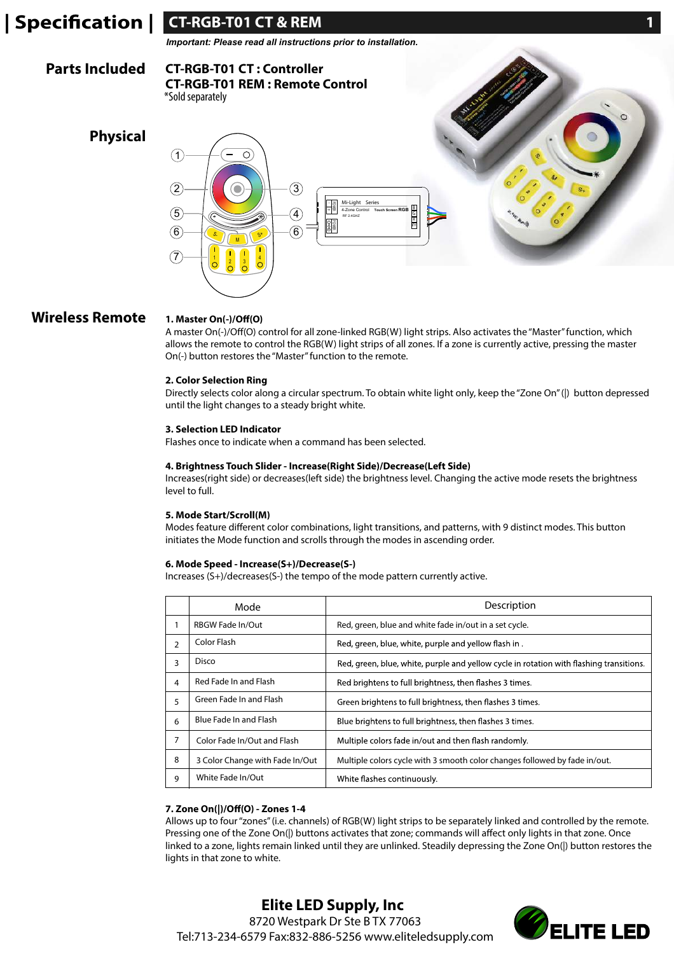

# **Wireless Remote**

### 1. Master On(-)/Off(O)

A master On(-)/Off(O) control for all zone-linked RGB(W) light strips. Also activates the "Master" function, which allows the remote to control the RGB(W) light strips of all zones. If a zone is currently active, pressing the master On(-) button restores the "Master" function to the remote.

### **2. Color Selection Ring**

Directly selects color along a circular spectrum. To obtain white light only, keep the "Zone On" (|) button depressed until the light changes to a steady bright white.

### **3. Selection LED Indicator**

Flashes once to indicate when a command has been selected.

### **4. Brightness Touch Slider - Increase(Right Side)/Decrease(Left Side)**

Increases(right side) or decreases(left side) the brightness level. Changing the active mode resets the brightness level to full.

# **5. Mode Start/Scroll(M)**

Modes feature different color combinations, light transitions, and patterns, with 9 distinct modes. This button initiates the Mode function and scrolls through the modes in ascending order.

## **6. Mode Speed - Increase(S+)/Decrease(S-)**

Increases (S+)/decreases(S-) the tempo of the mode pattern currently active.

|               | Mode                            | Description                                                                             |
|---------------|---------------------------------|-----------------------------------------------------------------------------------------|
|               | <b>RBGW Fade In/Out</b>         | Red, green, blue and white fade in/out in a set cycle.                                  |
| $\mathcal{P}$ | Color Flash                     | Red, green, blue, white, purple and yellow flash in.                                    |
| 3             | Disco                           | Red, green, blue, white, purple and yellow cycle in rotation with flashing transitions. |
| 4             | Red Fade In and Flash           | Red brightens to full brightness, then flashes 3 times.                                 |
| 5             | Green Fade In and Flash         | Green brightens to full brightness, then flashes 3 times.                               |
| 6             | Blue Fade In and Flash          | Blue brightens to full brightness, then flashes 3 times.                                |
| 7             | Color Fade In/Out and Flash     | Multiple colors fade in/out and then flash randomly.                                    |
| 8             | 3 Color Change with Fade In/Out | Multiple colors cycle with 3 smooth color changes followed by fade in/out.              |
| 9             | White Fade In/Out               | White flashes continuously.                                                             |

## **7. Zone On(|)/Off(O) - Zones 1-4**

Allows up to four "zones" (i.e. channels) of RGB(W) light strips to be separately linked and controlled by the remote. Pressing one of the Zone On(|) buttons activates that zone; commands will affect only lights in that zone. Once linked to a zone, lights remain linked until they are unlinked. Steadily depressing the Zone On(|) button restores the lights in that zone to white.